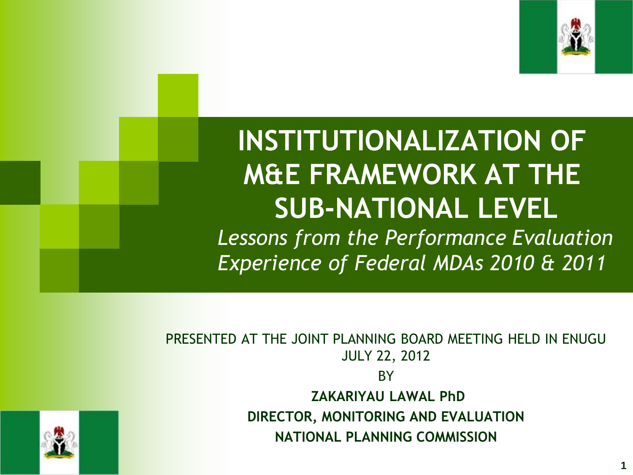

## **INSTITUTIONALIZATION OF M&E FRAMEWORK AT THE SUB-NATIONAL LEVEL**

*Lessons from the Performance Evaluation Experience of Federal MDAs 2010 & 2011*

PRESENTED AT THE JOINT PLANNING BOARD MEETING HELD IN ENUGU JULY 22, 2012 **BY ZAKARIYAU LAWAL PhD DIRECTOR, MONITORING AND EVALUATION NATIONAL PLANNING COMMISSION**



**1**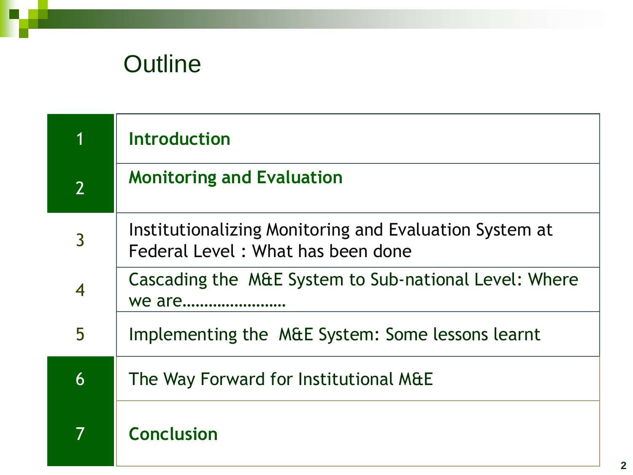### **Outline**

| 1              | <b>Introduction</b>                                                                         |  |
|----------------|---------------------------------------------------------------------------------------------|--|
| $\overline{2}$ | <b>Monitoring and Evaluation</b>                                                            |  |
| $\overline{3}$ | Institutionalizing Monitoring and Evaluation System at<br>Federal Level: What has been done |  |
|                | Cascading the M&E System to Sub-national Level: Where<br>we are                             |  |
| 5              | Implementing the M&E System: Some lessons learnt                                            |  |
| 6              | The Way Forward for Institutional M&E                                                       |  |
|                | <b>Conclusion</b>                                                                           |  |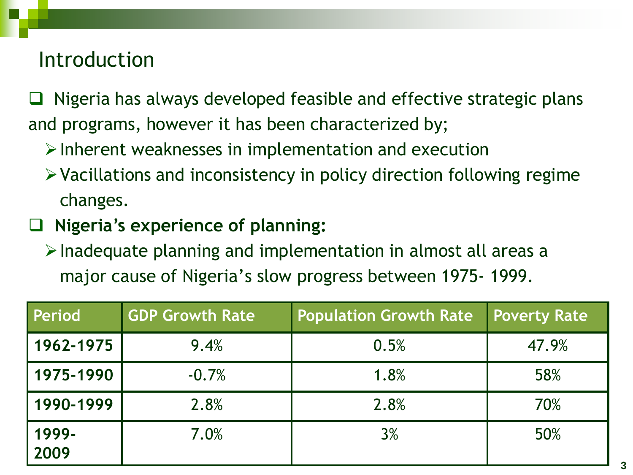#### Introduction

 $\Box$  Nigeria has always developed feasible and effective strategic plans and programs, however it has been characterized by;

- $\triangleright$  Inherent weaknesses in implementation and execution
- $\triangleright$  Vacillations and inconsistency in policy direction following regime changes.
- **Nigeria's experience of planning:**
	- $\triangleright$  Inadequate planning and implementation in almost all areas a major cause of Nigeria's slow progress between 1975- 1999.

| Period        | <b>GDP Growth Rate</b> | <b>Population Growth Rate</b> | <b>Poverty Rate</b> |
|---------------|------------------------|-------------------------------|---------------------|
| 1962-1975     | 9.4%                   | 0.5%                          | 47.9%               |
| 1975-1990     | $-0.7%$                | 1.8%                          | 58%                 |
| 1990-1999     | 2.8%                   | 2.8%                          | 70%                 |
| 1999-<br>2009 | 7.0%                   | 3%                            | 50%                 |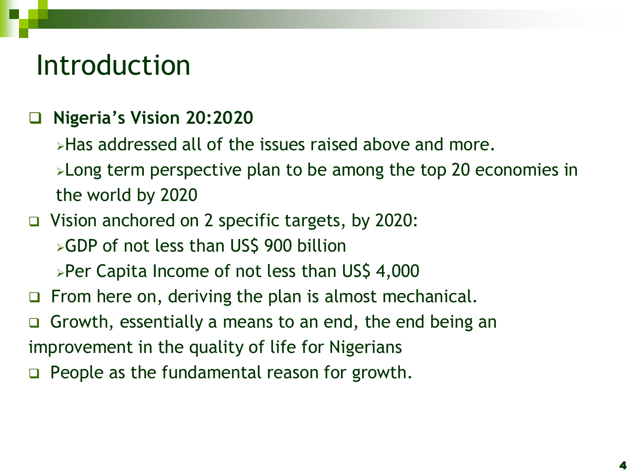### Introduction

#### **Nigeria's Vision 20:2020**

- **Example 3 and increased all of the issues raised above and more.**
- **>Long term perspective plan to be among the top 20 economies in** the world by 2020
- Vision anchored on 2 specific targets, by 2020:
	- **>GDP** of not less than US\$ 900 billion
	- **>Per Capita Income of not less than US\$ 4,000**
- $\Box$  From here on, deriving the plan is almost mechanical.
- Growth, essentially a means to an end, the end being an improvement in the quality of life for Nigerians
- $\Box$  People as the fundamental reason for growth.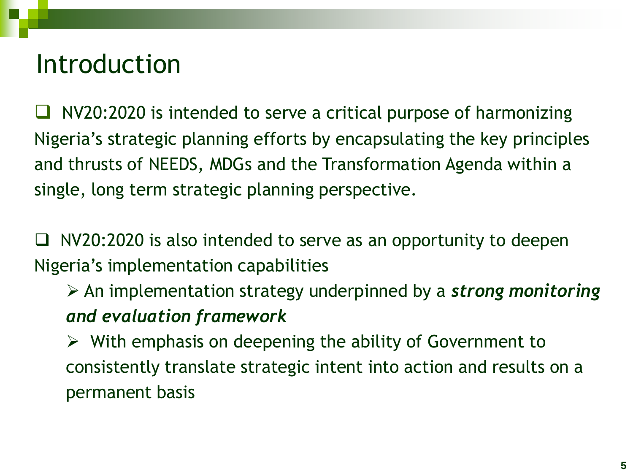### Introduction

 NV20:2020 is intended to serve a critical purpose of harmonizing Nigeria's strategic planning efforts by encapsulating the key principles and thrusts of NEEDS, MDGs and the Transformation Agenda within a single, long term strategic planning perspective.

 $\Box$  NV20:2020 is also intended to serve as an opportunity to deepen Nigeria's implementation capabilities

 An implementation strategy underpinned by a *strong monitoring and evaluation framework*

 $\triangleright$  With emphasis on deepening the ability of Government to consistently translate strategic intent into action and results on a permanent basis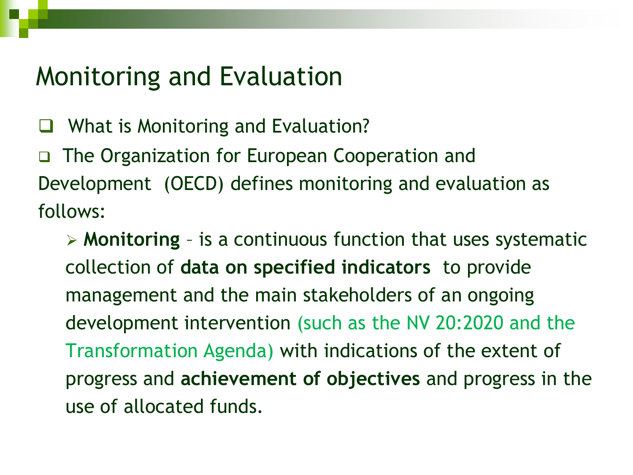### Monitoring and Evaluation

What is Monitoring and Evaluation?

 The Organization for European Cooperation and Development (OECD) defines monitoring and evaluation as follows:

 **Monitoring** – is a continuous function that uses systematic collection of **data on specified indicators** to provide management and the main stakeholders of an ongoing development intervention (such as the NV 20:2020 and the Transformation Agenda) with indications of the extent of progress and **achievement of objectives** and progress in the use of allocated funds.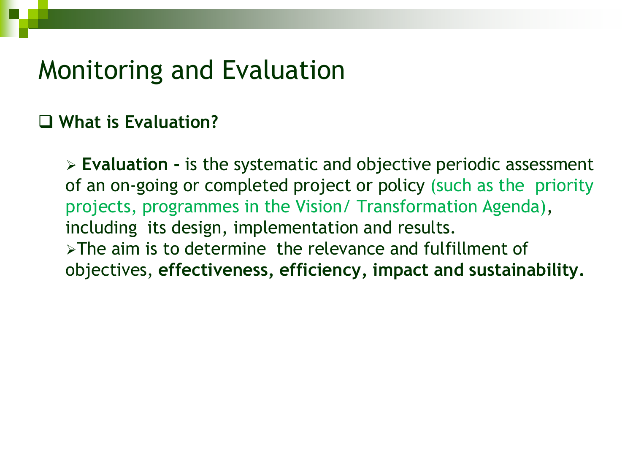#### Monitoring and Evaluation

#### **What is Evaluation?**

 **Evaluation -** is the systematic and objective periodic assessment of an on-going or completed project or policy (such as the priority projects, programmes in the Vision/ Transformation Agenda), including its design, implementation and results.  $\triangleright$ The aim is to determine the relevance and fulfillment of objectives, **effectiveness, efficiency, impact and sustainability.**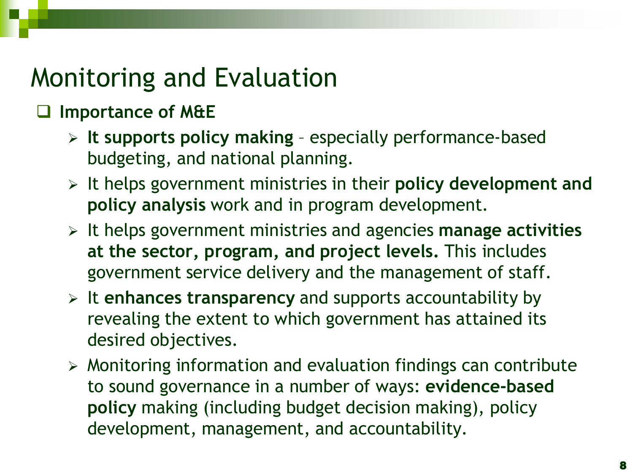### Monitoring and Evaluation

#### **Importance of M&E**

- **It supports policy making** especially performance-based budgeting, and national planning.
- It helps government ministries in their **policy development and policy analysis** work and in program development.
- It helps government ministries and agencies **manage activities at the sector, program, and project levels.** This includes government service delivery and the management of staff.
- It **enhances transparency** and supports accountability by revealing the extent to which government has attained its desired objectives.
- $\triangleright$  Monitoring information and evaluation findings can contribute to sound governance in a number of ways: **evidence-based policy** making (including budget decision making), policy development, management, and accountability.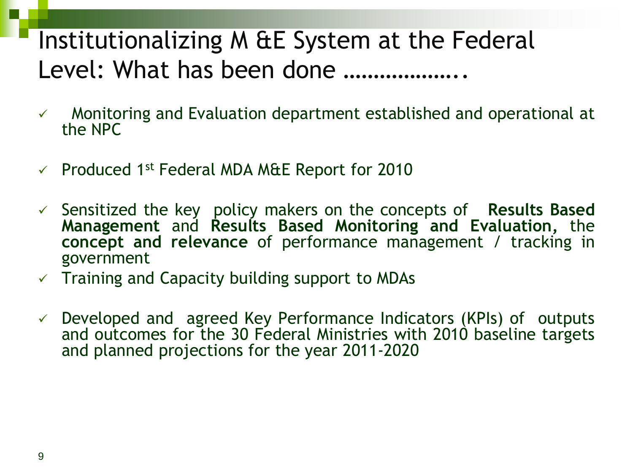### Institutionalizing M &E System at the Federal Level: What has been done ..................

- $\checkmark$  Monitoring and Evaluation department established and operational at the NPC
- Produced 1 st Federal MDA M&E Report for 2010
- Sensitized the key policy makers on the concepts of **Results Based Management** and **Results Based Monitoring and Evaluation,** the **concept and relevance** of performance management / tracking in government
- $\checkmark$  Training and Capacity building support to MDAs
- $\checkmark$  Developed and agreed Key Performance Indicators (KPIs) of outputs and outcomes for the 30 Federal Ministries with 2010 baseline targets and planned projections for the year 2011-2020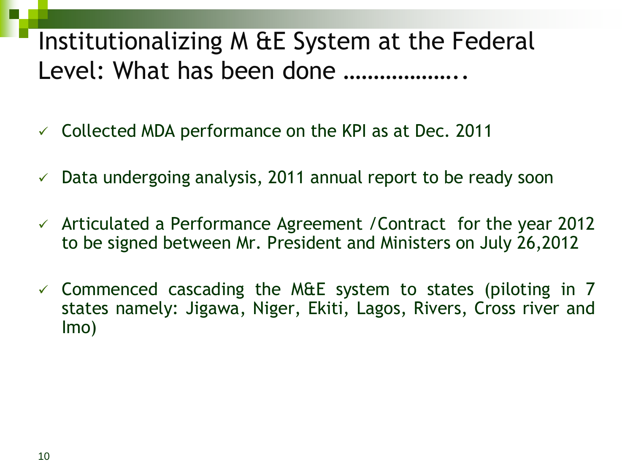### Institutionalizing M &E System at the Federal Level: What has been done ...................

- $\checkmark$  Collected MDA performance on the KPI as at Dec. 2011
- $\checkmark$  Data undergoing analysis, 2011 annual report to be ready soon
- $\checkmark$  Articulated a Performance Agreement / Contract for the year 2012 to be signed between Mr. President and Ministers on July 26,2012
- $\checkmark$  Commenced cascading the M&E system to states (piloting in 7 states namely: Jigawa, Niger, Ekiti, Lagos, Rivers, Cross river and Imo)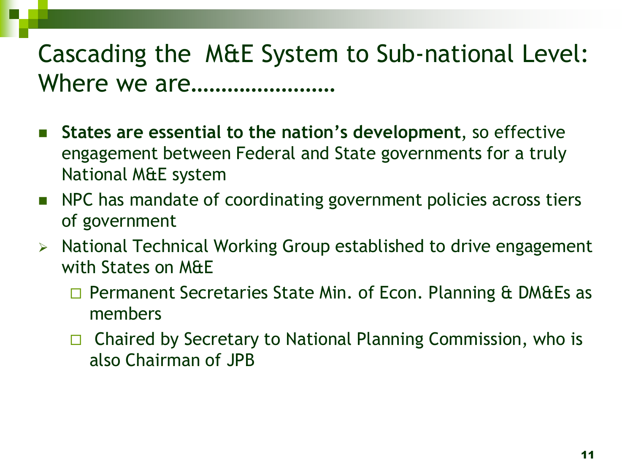### Cascading the M&E System to Sub-national Level: Where we are……………………

- **States are essential to the nation's development**, so effective engagement between Federal and State governments for a truly National M&E system
- NPC has mandate of coordinating government policies across tiers of government
- $\triangleright$  National Technical Working Group established to drive engagement with States on M&E
	- □ Permanent Secretaries State Min. of Econ. Planning & DM&Es as members
	- $\Box$  Chaired by Secretary to National Planning Commission, who is also Chairman of JPB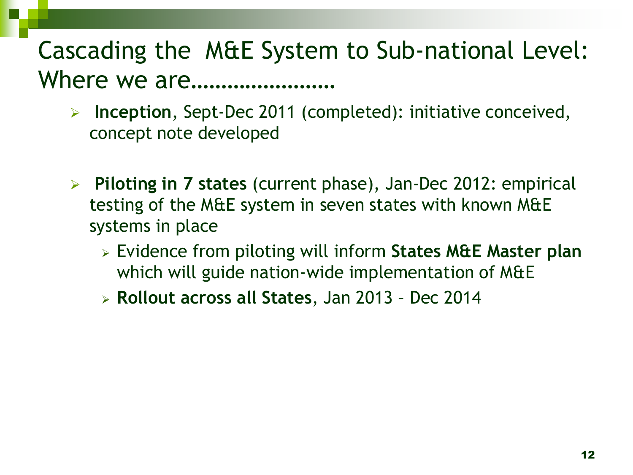### Cascading the M&E System to Sub-national Level: Where we are……………………

- **Inception**, Sept-Dec 2011 (completed): initiative conceived, concept note developed
- **Piloting in 7 states** (current phase), Jan-Dec 2012: empirical testing of the M&E system in seven states with known M&E systems in place
	- Evidence from piloting will inform **States M&E Master plan**  which will guide nation-wide implementation of M&E
	- **Rollout across all States**, Jan 2013 Dec 2014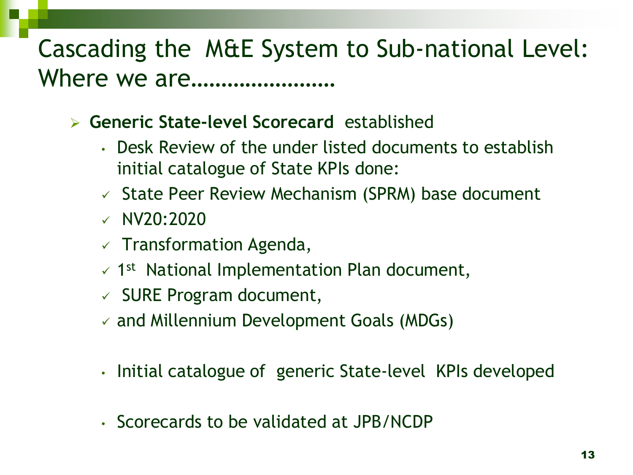#### Cascading the M&E System to Sub-national Level: Where we are……………………

- **Generic State-level Scorecard** established
	- Desk Review of the under listed documents to establish initial catalogue of State KPIs done:
	- $\checkmark$  State Peer Review Mechanism (SPRM) base document
	- $\times$  NV20:2020
	- $\checkmark$  Transformation Agenda,
	- $\sim$  1<sup>st</sup> National Implementation Plan document,
	- $\checkmark$  SURE Program document,
	- $\checkmark$  and Millennium Development Goals (MDGs)
	- Initial catalogue of generic State-level KPIs developed
	- Scorecards to be validated at JPB/NCDP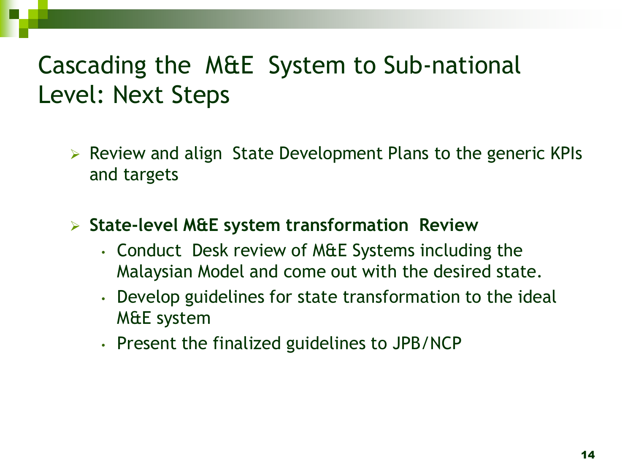### Cascading the M&E System to Sub-national Level: Next Steps

 $\triangleright$  Review and align State Development Plans to the generic KPIs and targets

**State-level M&E system transformation Review**

- Conduct Desk review of M&E Systems including the Malaysian Model and come out with the desired state.
- Develop guidelines for state transformation to the ideal M&E system
- Present the finalized guidelines to JPB/NCP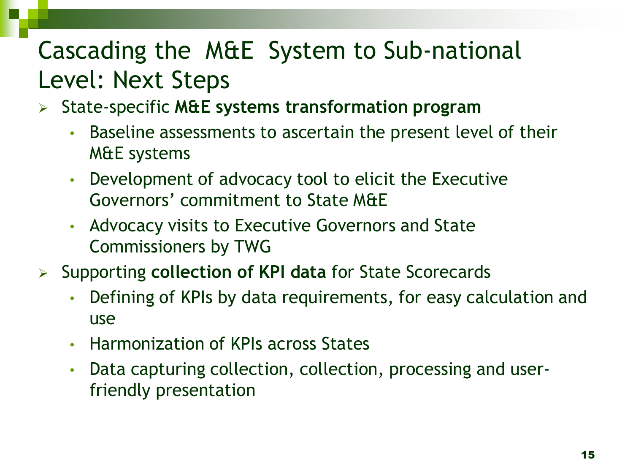### Cascading the M&E System to Sub-national Level: Next Steps

- State-specific **M&E systems transformation program**
	- Baseline assessments to ascertain the present level of their M&E systems
	- Development of advocacy tool to elicit the Executive Governors' commitment to State M&E
	- Advocacy visits to Executive Governors and State Commissioners by TWG
- Supporting **collection of KPI data** for State Scorecards
	- Defining of KPIs by data requirements, for easy calculation and use
	- Harmonization of KPIs across States
	- Data capturing collection, collection, processing and userfriendly presentation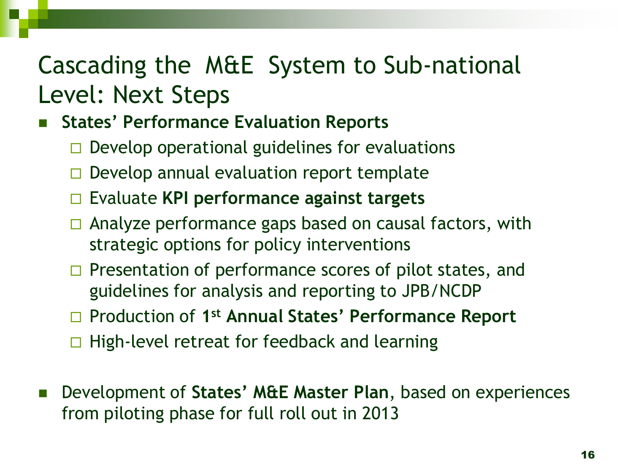#### Cascading the M&E System to Sub-national Level: Next Steps

#### **States' Performance Evaluation Reports**

- $\Box$  Develop operational guidelines for evaluations
- $\Box$  Develop annual evaluation report template
- Evaluate **KPI performance against targets**
- $\Box$  Analyze performance gaps based on causal factors, with strategic options for policy interventions
- $\Box$  Presentation of performance scores of pilot states, and guidelines for analysis and reporting to JPB/NCDP
- □ Production of 1<sup>st</sup> Annual States' Performance Report
- $\Box$  High-level retreat for feedback and learning
- Development of **States' M&E Master Plan**, based on experiences from piloting phase for full roll out in 2013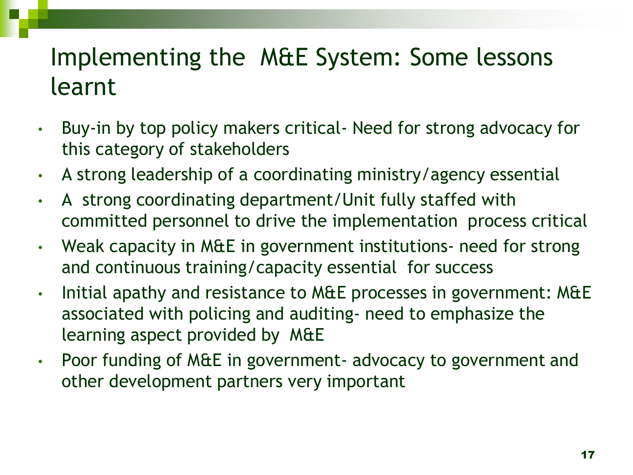### Implementing the M&E System: Some lessons learnt

- Buy-in by top policy makers critical- Need for strong advocacy for this category of stakeholders
- A strong leadership of a coordinating ministry/agency essential
- A strong coordinating department/Unit fully staffed with committed personnel to drive the implementation process critical
- Weak capacity in M&E in government institutions- need for strong and continuous training/capacity essential for success
- Initial apathy and resistance to M&E processes in government: M&E associated with policing and auditing- need to emphasize the learning aspect provided by M&E
- Poor funding of M&E in government- advocacy to government and other development partners very important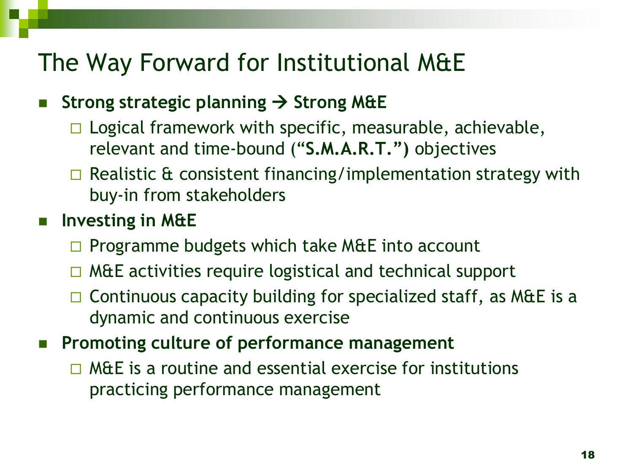#### The Way Forward for Institutional M&E

#### **Strong strategic planning → Strong M&E**

- $\Box$  Logical framework with specific, measurable, achievable, relevant and time-bound ("**S.M.A.R.T.")** objectives
- $\Box$  Realistic & consistent financing/implementation strategy with buy-in from stakeholders

#### **Investing in M&E**

- $\Box$  Programme budgets which take M&E into account
- $\Box$  M&E activities require logistical and technical support
- $\Box$  Continuous capacity building for specialized staff, as M&E is a dynamic and continuous exercise
- **Promoting culture of performance management** 
	- $\Box$  M&E is a routine and essential exercise for institutions practicing performance management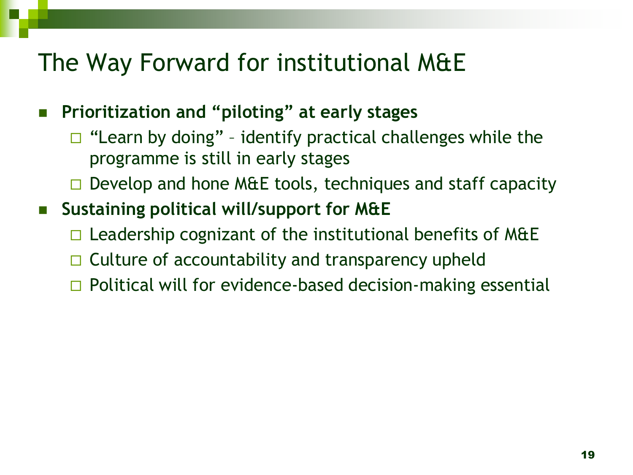#### The Way Forward for institutional M&E

**Prioritization and "piloting" at early stages**

- $\Box$  "Learn by doing" identify practical challenges while the programme is still in early stages
- $\Box$  Develop and hone M&E tools, techniques and staff capacity
- **Sustaining political will/support for M&E** 
	- $\Box$  Leadership cognizant of the institutional benefits of M&E
	- $\Box$  Culture of accountability and transparency upheld
	- $\Box$  Political will for evidence-based decision-making essential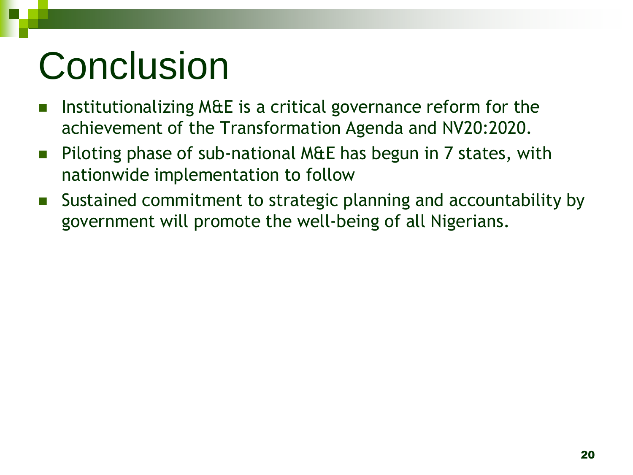# Conclusion

- Institutionalizing M&E is a critical governance reform for the achievement of the Transformation Agenda and NV20:2020.
- Piloting phase of sub-national M&E has begun in 7 states, with nationwide implementation to follow
- Sustained commitment to strategic planning and accountability by government will promote the well-being of all Nigerians.